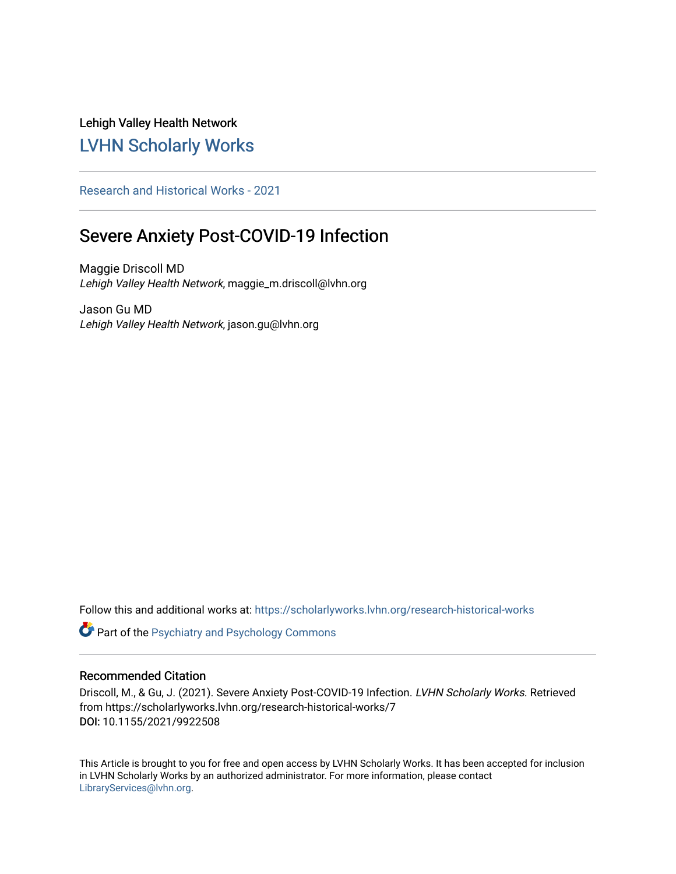Lehigh Valley Health Network [LVHN Scholarly Works](https://scholarlyworks.lvhn.org/)

[Research and Historical Works - 2021](https://scholarlyworks.lvhn.org/research-historical-works) 

# Severe Anxiety Post-COVID-19 Infection

Maggie Driscoll MD Lehigh Valley Health Network, maggie\_m.driscoll@lvhn.org

Jason Gu MD Lehigh Valley Health Network, jason.gu@lvhn.org

Follow this and additional works at: [https://scholarlyworks.lvhn.org/research-historical-works](https://scholarlyworks.lvhn.org/research-historical-works?utm_source=scholarlyworks.lvhn.org%2Fresearch-historical-works%2F7&utm_medium=PDF&utm_campaign=PDFCoverPages)

Part of the [Psychiatry and Psychology Commons](http://network.bepress.com/hgg/discipline/908?utm_source=scholarlyworks.lvhn.org%2Fresearch-historical-works%2F7&utm_medium=PDF&utm_campaign=PDFCoverPages) 

# Recommended Citation

Driscoll, M., & Gu, J. (2021). Severe Anxiety Post-COVID-19 Infection. LVHN Scholarly Works. Retrieved from https://scholarlyworks.lvhn.org/research-historical-works/7 DOI: 10.1155/2021/9922508

This Article is brought to you for free and open access by LVHN Scholarly Works. It has been accepted for inclusion in LVHN Scholarly Works by an authorized administrator. For more information, please contact [LibraryServices@lvhn.org](mailto:LibraryServices@lvhn.org).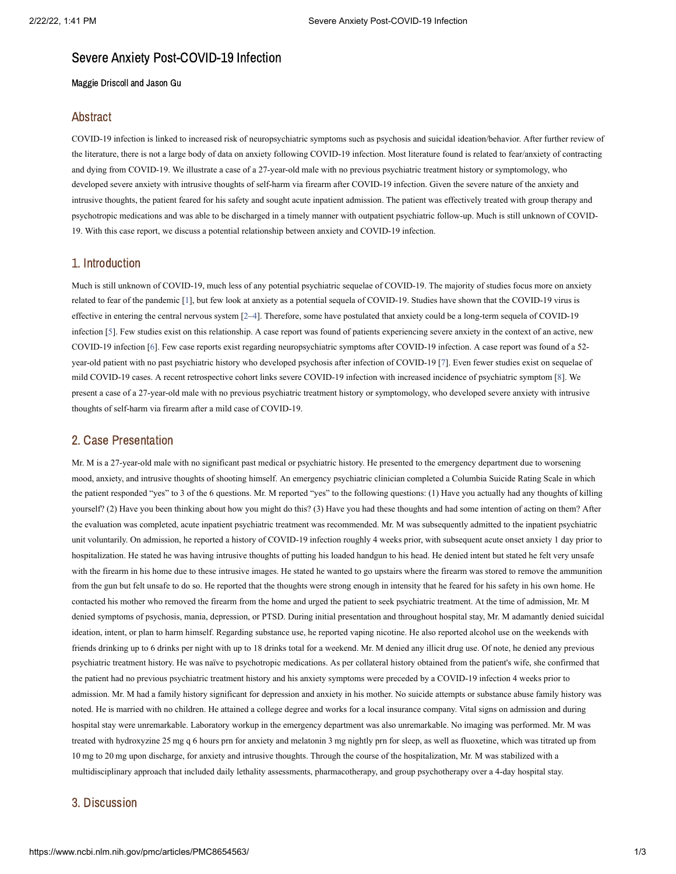# Severe Anxiety Post-COVID-19 Infection

Maggie Driscoll and Jason Gu

#### Abstract

COVID-19 infection is linked to increased risk of neuropsychiatric symptoms such as psychosis and suicidal ideation/behavior. After further review of the literature, there is not a large body of data on anxiety following COVID-19 infection. Most literature found is related to fear/anxiety of contracting and dying from COVID-19. We illustrate a case of a 27-year-old male with no previous psychiatric treatment history or symptomology, who developed severe anxiety with intrusive thoughts of self-harm via firearm after COVID-19 infection. Given the severe nature of the anxiety and intrusive thoughts, the patient feared for his safety and sought acute inpatient admission. The patient was effectively treated with group therapy and psychotropic medications and was able to be discharged in a timely manner with outpatient psychiatric follow-up. Much is still unknown of COVID-19. With this case report, we discuss a potential relationship between anxiety and COVID-19 infection.

#### 1. Introduction

Much is still unknown of COVID-19, much less of any potential psychiatric sequelae of COVID-19. The majority of studies focus more on anxiety related to fear of the pandemic [[1\]](#page-3-0), but few look at anxiety as a potential sequela of COVID-19. Studies have shown that the COVID-19 virus is effective in entering the central nervous system [[2–](#page-3-1)[4\]](#page-3-2). Therefore, some have postulated that anxiety could be a long-term sequela of COVID-19 infection [\[5](#page-3-3)]. Few studies exist on this relationship. A case report was found of patients experiencing severe anxiety in the context of an active, new COVID-19 infection [\[6](#page-3-4)]. Few case reports exist regarding neuropsychiatric symptoms after COVID-19 infection. A case report was found of a 52 year-old patient with no past psychiatric history who developed psychosis after infection of COVID-19 [[7\]](#page-3-5). Even fewer studies exist on sequelae of mild COVID-19 cases. A recent retrospective cohort links severe COVID-19 infection with increased incidence of psychiatric symptom [\[8](#page-3-6)]. We present a case of a 27-year-old male with no previous psychiatric treatment history or symptomology, who developed severe anxiety with intrusive thoughts of self-harm via firearm after a mild case of COVID-19.

#### 2. Case Presentation

Mr. M is a 27-year-old male with no significant past medical or psychiatric history. He presented to the emergency department due to worsening mood, anxiety, and intrusive thoughts of shooting himself. An emergency psychiatric clinician completed a Columbia Suicide Rating Scale in which the patient responded "yes" to 3 of the 6 questions. Mr. M reported "yes" to the following questions: (1) Have you actually had any thoughts of killing yourself? (2) Have you been thinking about how you might do this? (3) Have you had these thoughts and had some intention of acting on them? After the evaluation was completed, acute inpatient psychiatric treatment was recommended. Mr. M was subsequently admitted to the inpatient psychiatric unit voluntarily. On admission, he reported a history of COVID-19 infection roughly 4 weeks prior, with subsequent acute onset anxiety 1 day prior to hospitalization. He stated he was having intrusive thoughts of putting his loaded handgun to his head. He denied intent but stated he felt very unsafe with the firearm in his home due to these intrusive images. He stated he wanted to go upstairs where the firearm was stored to remove the ammunition from the gun but felt unsafe to do so. He reported that the thoughts were strong enough in intensity that he feared for his safety in his own home. He contacted his mother who removed the firearm from the home and urged the patient to seek psychiatric treatment. At the time of admission, Mr. M denied symptoms of psychosis, mania, depression, or PTSD. During initial presentation and throughout hospital stay, Mr. M adamantly denied suicidal ideation, intent, or plan to harm himself. Regarding substance use, he reported vaping nicotine. He also reported alcohol use on the weekends with friends drinking up to 6 drinks per night with up to 18 drinks total for a weekend. Mr. M denied any illicit drug use. Of note, he denied any previous psychiatric treatment history. He was naïve to psychotropic medications. As per collateral history obtained from the patient's wife, she confirmed that the patient had no previous psychiatric treatment history and his anxiety symptoms were preceded by a COVID-19 infection 4 weeks prior to admission. Mr. M had a family history significant for depression and anxiety in his mother. No suicide attempts or substance abuse family history was noted. He is married with no children. He attained a college degree and works for a local insurance company. Vital signs on admission and during hospital stay were unremarkable. Laboratory workup in the emergency department was also unremarkable. No imaging was performed. Mr. M was treated with hydroxyzine 25 mg q 6 hours prn for anxiety and melatonin 3 mg nightly prn for sleep, as well as fluoxetine, which was titrated up from 10 mg to 20 mg upon discharge, for anxiety and intrusive thoughts. Through the course of the hospitalization, Mr. M was stabilized with a multidisciplinary approach that included daily lethality assessments, pharmacotherapy, and group psychotherapy over a 4-day hospital stay.

#### 3. Discussion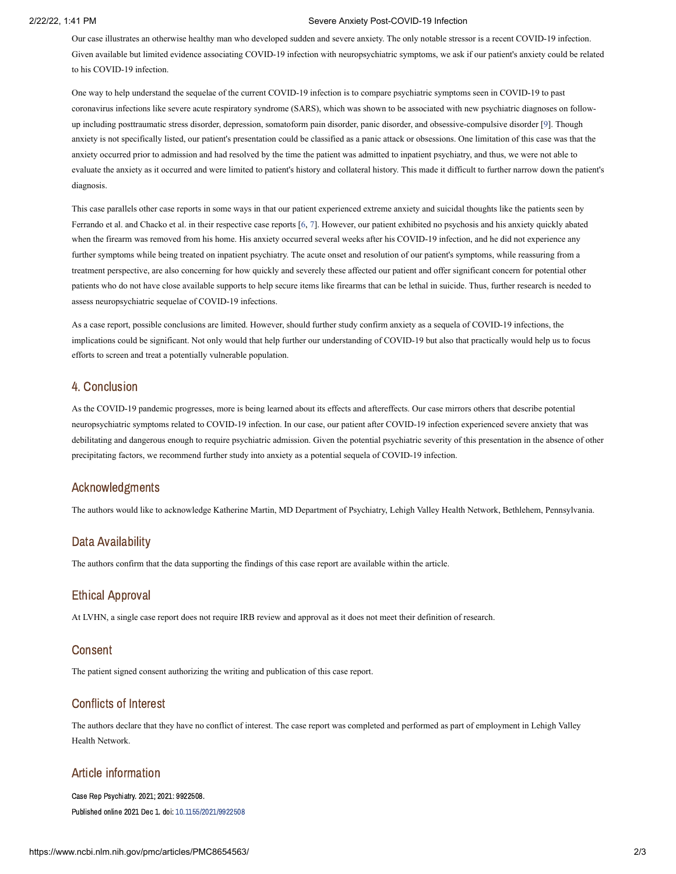#### 2/22/22, 1:41 PM Severe Anxiety Post-COVID-19 Infection

Our case illustrates an otherwise healthy man who developed sudden and severe anxiety. The only notable stressor is a recent COVID-19 infection. Given available but limited evidence associating COVID-19 infection with neuropsychiatric symptoms, we ask if our patient's anxiety could be related to his COVID-19 infection.

One way to help understand the sequelae of the current COVID-19 infection is to compare psychiatric symptoms seen in COVID-19 to past coronavirus infections like severe acute respiratory syndrome (SARS), which was shown to be associated with new psychiatric diagnoses on followup including posttraumatic stress disorder, depression, somatoform pain disorder, panic disorder, and obsessive-compulsive disorder [\[9](#page-3-7)]. Though anxiety is not specifically listed, our patient's presentation could be classified as a panic attack or obsessions. One limitation of this case was that the anxiety occurred prior to admission and had resolved by the time the patient was admitted to inpatient psychiatry, and thus, we were not able to evaluate the anxiety as it occurred and were limited to patient's history and collateral history. This made it difficult to further narrow down the patient's diagnosis.

This case parallels other case reports in some ways in that our patient experienced extreme anxiety and suicidal thoughts like the patients seen by Ferrando et al. and Chacko et al. in their respective case reports [[6](#page-3-4), [7\]](#page-3-5). However, our patient exhibited no psychosis and his anxiety quickly abated when the firearm was removed from his home. His anxiety occurred several weeks after his COVID-19 infection, and he did not experience any further symptoms while being treated on inpatient psychiatry. The acute onset and resolution of our patient's symptoms, while reassuring from a treatment perspective, are also concerning for how quickly and severely these affected our patient and offer significant concern for potential other patients who do not have close available supports to help secure items like firearms that can be lethal in suicide. Thus, further research is needed to assess neuropsychiatric sequelae of COVID-19 infections.

As a case report, possible conclusions are limited. However, should further study confirm anxiety as a sequela of COVID-19 infections, the implications could be significant. Not only would that help further our understanding of COVID-19 but also that practically would help us to focus efforts to screen and treat a potentially vulnerable population.

#### 4. Conclusion

As the COVID-19 pandemic progresses, more is being learned about its effects and aftereffects. Our case mirrors others that describe potential neuropsychiatric symptoms related to COVID-19 infection. In our case, our patient after COVID-19 infection experienced severe anxiety that was debilitating and dangerous enough to require psychiatric admission. Given the potential psychiatric severity of this presentation in the absence of other precipitating factors, we recommend further study into anxiety as a potential sequela of COVID-19 infection.

#### Acknowledgments

The authors would like to acknowledge Katherine Martin, MD Department of Psychiatry, Lehigh Valley Health Network, Bethlehem, Pennsylvania.

### Data Availability

The authors confirm that the data supporting the findings of this case report are available within the article.

# Ethical Approval

At LVHN, a single case report does not require IRB review and approval as it does not meet their definition of research.

#### Consent

The patient signed consent authorizing the writing and publication of this case report.

# Conflicts of Interest

The authors declare that they have no conflict of interest. The case report was completed and performed as part of employment in Lehigh Valley Health Network.

# Article information

Case Rep Psychiatry. 2021; 2021: 9922508. Published online 2021 Dec 1. doi: [10.1155/2021/9922508](https://dx.doi.org/10.1155%2F2021%2F9922508)